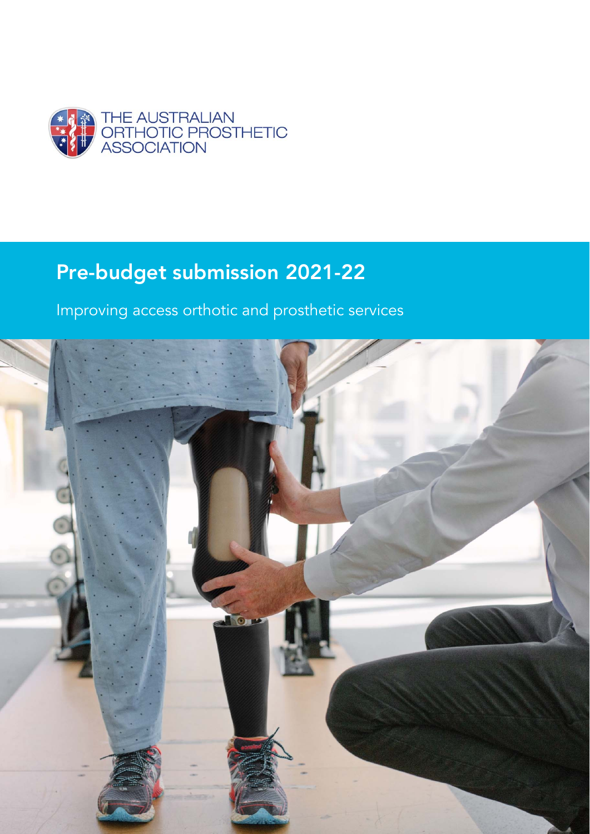

# Pre-budget submission 2021-22

Improving access orthotic and prosthetic services

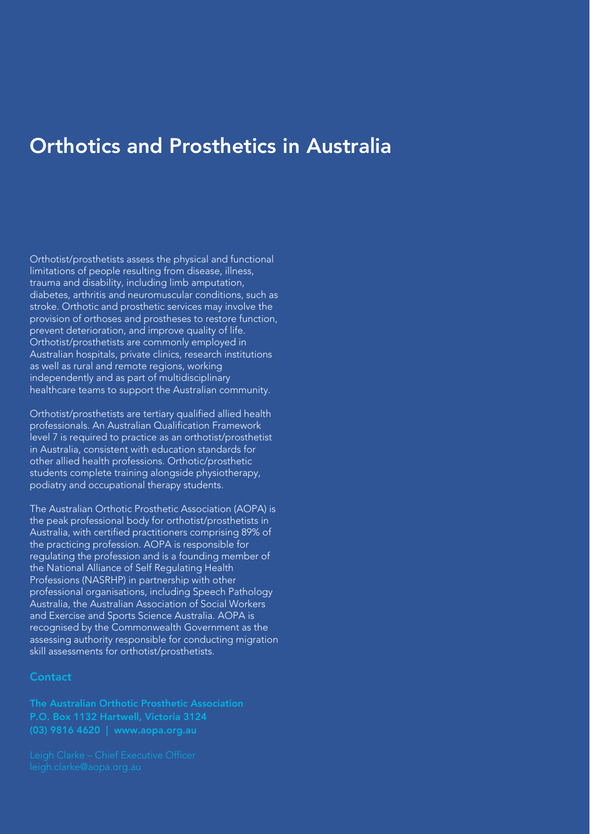## Orthotics and Prosthetics in Australia

Orthotist/prosthetists assess the physical and functional limitations of people resulting from disease, illness, trauma and disability, including limb amputation, diabetes, arthritis and neuromuscular conditions, such as stroke. Orthotic and prosthetic services may involve the provision of orthoses and prostheses to restore function, prevent deterioration, and improve quality of life. Orthotist/prosthetists are commonly employed in Australian hospitals, private clinics, research institutions as well as rural and remote regions, working independently and as part of multidisciplinary healthcare teams to support the Australian community.

Orthotist/prosthetists are tertiary qualified allied health professionals. An Australian Qualification Framework level 7 is required to practice as an orthotist/prosthetist in Australia, consistent with education standards for other allied health professions. Orthotic/prosthetic students complete training alongside physiotherapy, podiatry and occupational therapy students.

The Australian Orthotic Prosthetic Association (AOPA) is the peak professional body for orthotist/prosthetists in Australia, with certified practitioners comprising 89% of the practicing profession. AOPA is responsible for regulating the profession and is a founding member of the National Alliance of Self Regulating Health Professions (NASRHP) in partnership with other professional organisations, including Speech Pathology Australia, the Australian Association of Social Workers and Exercise and Sports Science Australia. AOPA is recognised by the Commonwealth Government as the assessing authority responsible for conducting migration skill assessments for orthotist/prosthetists.

## **Contact**

The Australian Orthotic Prosthetic Association P.O. Box 1132 Hartwell, Victoria 3124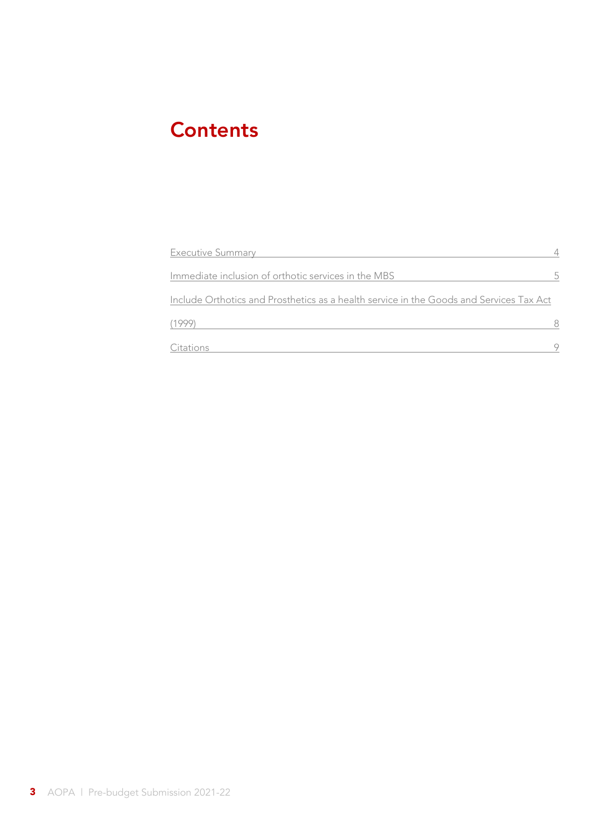## **Contents**

| <b>Executive Summary</b>                                                                |   |
|-----------------------------------------------------------------------------------------|---|
| Immediate inclusion of orthotic services in the MBS                                     | 5 |
| Include Orthotics and Prosthetics as a health service in the Goods and Services Tax Act |   |
| (1999)                                                                                  |   |
| Citations                                                                               |   |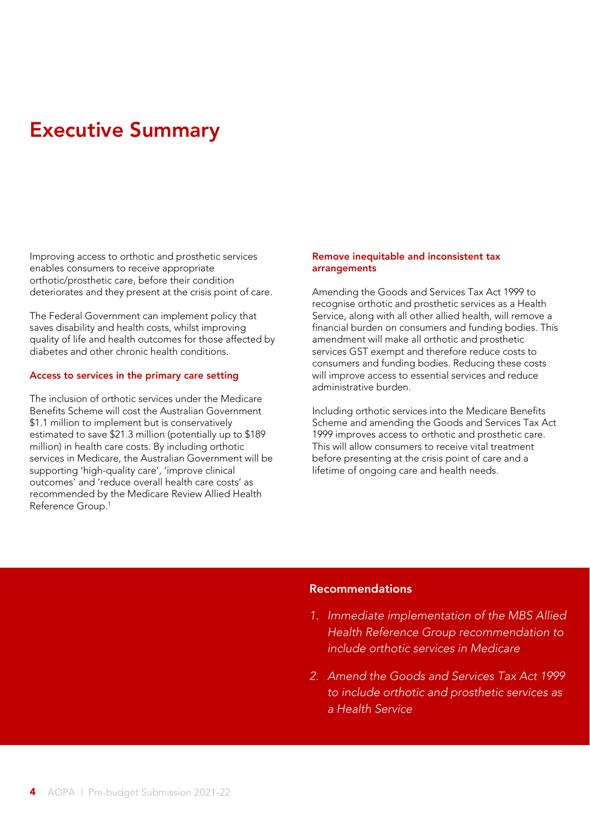## Executive Summary

Improving access to orthotic and prosthetic services enables consumers to receive appropriate orthotic/prosthetic care, before their condition deteriorates and they present at the crisis point of care.

The Federal Government can implement policy that saves disability and health costs, whilst improving quality of life and health outcomes for those affected by diabetes and other chronic health conditions.

### Access to services in the primary care setting

The inclusion of orthotic services under the Medicare Benefits Scheme will cost the Australian Government \$1.1 million to implement but is conservatively estimated to save \$21.3 million (potentially up to \$189 million) in health care costs. By including orthotic services in Medicare, the Australian Government will be supporting 'high-quality care', 'improve clinical outcomes' and 'reduce overall health care costs' as recommended by the Medicare Review Allied Health Reference Group.1

### Remove inequitable and inconsistent tax arrangements

Amending the Goods and Services Tax Act 1999 to recognise orthotic and prosthetic services as a Health Service, along with all other allied health, will remove a financial burden on consumers and funding bodies. This amendment will make all orthotic and prosthetic services GST exempt and therefore reduce costs to consumers and funding bodies. Reducing these costs will improve access to essential services and reduce administrative burden.

Including orthotic services into the Medicare Benefits Scheme and amending the Goods and Services Tax Act 1999 improves access to orthotic and prosthetic care. This will allow consumers to receive vital treatment before presenting at the crisis point of care and a lifetime of ongoing care and health needs.

## Recommendations

- *1. Immediate implementation of the MBS Allied Health Reference Group recommendation to include orthotic services in Medicare*
- *2. Amend the Goods and Services Tax Act 1999 to include orthotic and prosthetic services as a Health Service*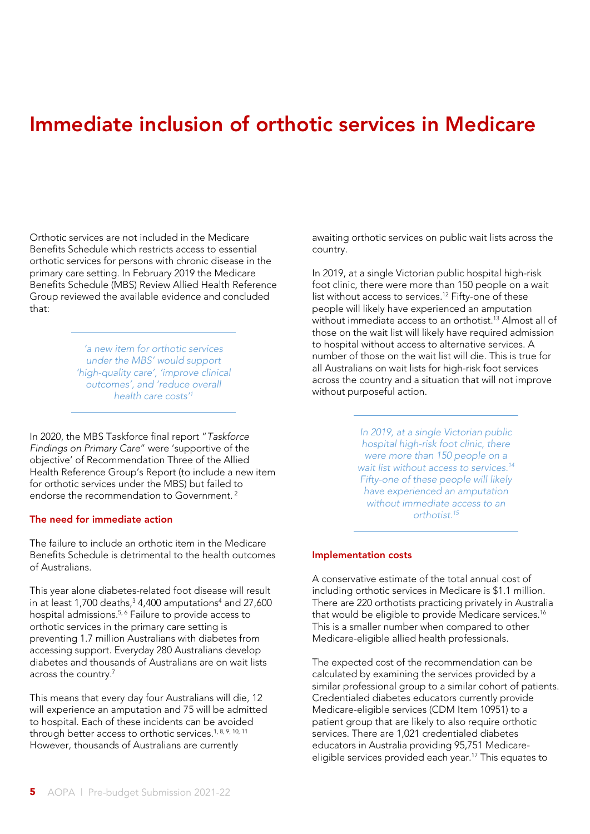## Immediate inclusion of orthotic services in Medicare

Orthotic services are not included in the Medicare Benefits Schedule which restricts access to essential orthotic services for persons with chronic disease in the primary care setting. In February 2019 the Medicare Benefits Schedule (MBS) Review Allied Health Reference Group reviewed the available evidence and concluded that:

> *'a new item for orthotic services under the MBS' would support 'high-quality care', 'improve clinical outcomes', and 'reduce overall health care costs'1*

In 2020, the MBS Taskforce final report "*Taskforce Findings on Primary Care*" were 'supportive of the objective' of Recommendation Three of the Allied Health Reference Group's Report (to include a new item for orthotic services under the MBS) but failed to endorse the recommendation to Government<sup>2</sup>

## The need for immediate action

The failure to include an orthotic item in the Medicare Benefits Schedule is detrimental to the health outcomes of Australians.

This year alone diabetes-related foot disease will result in at least 1,700 deaths, $34,400$  amputations $4$  and 27,600 hospital admissions.<sup>5, 6</sup> Failure to provide access to orthotic services in the primary care setting is preventing 1.7 million Australians with diabetes from accessing support. Everyday 280 Australians develop diabetes and thousands of Australians are on wait lists across the country.7

This means that every day four Australians will die, 12 will experience an amputation and 75 will be admitted to hospital. Each of these incidents can be avoided through better access to orthotic services.<sup>1, 8, 9, 10, 11</sup> However, thousands of Australians are currently

awaiting orthotic services on public wait lists across the country.

In 2019, at a single Victorian public hospital high-risk foot clinic, there were more than 150 people on a wait list without access to services.12 Fifty-one of these people will likely have experienced an amputation without immediate access to an orthotist.<sup>13</sup> Almost all of those on the wait list will likely have required admission to hospital without access to alternative services. A number of those on the wait list will die. This is true for all Australians on wait lists for high-risk foot services across the country and a situation that will not improve without purposeful action.

> *In 2019, at a single Victorian public hospital high-risk foot clinic, there were more than 150 people on a wait list without access to services.14 Fifty-one of these people will likely have experienced an amputation without immediate access to an orthotist.15*

#### Implementation costs

A conservative estimate of the total annual cost of including orthotic services in Medicare is \$1.1 million. There are 220 orthotists practicing privately in Australia that would be eligible to provide Medicare services.<sup>16</sup> This is a smaller number when compared to other Medicare-eligible allied health professionals.

The expected cost of the recommendation can be calculated by examining the services provided by a similar professional group to a similar cohort of patients. Credentialed diabetes educators currently provide Medicare-eligible services (CDM Item 10951) to a patient group that are likely to also require orthotic services. There are 1,021 credentialed diabetes educators in Australia providing 95,751 Medicareeligible services provided each year.<sup>17</sup> This equates to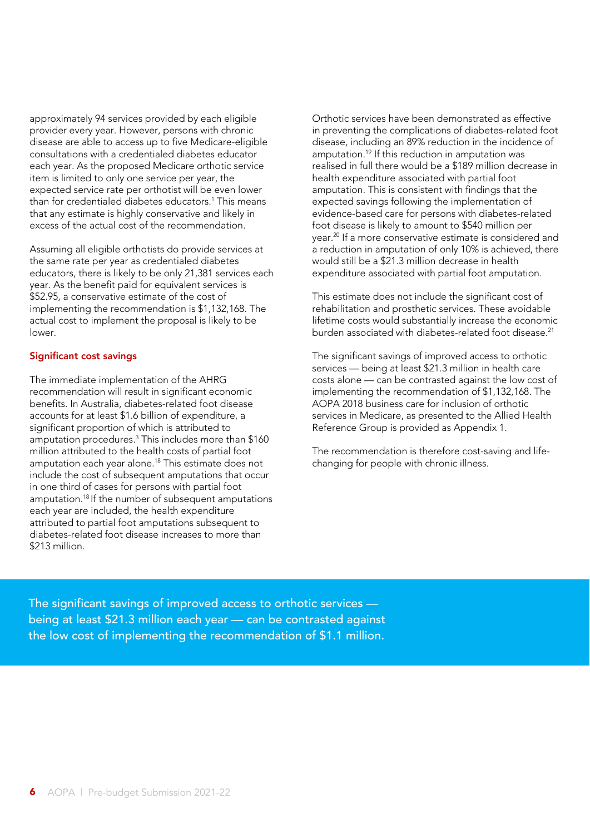approximately 94 services provided by each eligible provider every year. However, persons with chronic disease are able to access up to five Medicare-eligible consultations with a credentialed diabetes educator each year. As the proposed Medicare orthotic service item is limited to only one service per year, the expected service rate per orthotist will be even lower than for credentialed diabetes educators.1 This means that any estimate is highly conservative and likely in excess of the actual cost of the recommendation.

Assuming all eligible orthotists do provide services at the same rate per year as credentialed diabetes educators, there is likely to be only 21,381 services each year. As the benefit paid for equivalent services is \$52.95, a conservative estimate of the cost of implementing the recommendation is \$1,132,168. The actual cost to implement the proposal is likely to be lower.

## Significant cost savings

The immediate implementation of the AHRG recommendation will result in significant economic benefits. In Australia, diabetes-related foot disease accounts for at least \$1.6 billion of expenditure, a significant proportion of which is attributed to amputation procedures.3 This includes more than \$160 million attributed to the health costs of partial foot amputation each year alone.18 This estimate does not include the cost of subsequent amputations that occur in one third of cases for persons with partial foot amputation.18 If the number of subsequent amputations each year are included, the health expenditure attributed to partial foot amputations subsequent to diabetes-related foot disease increases to more than \$213 million.

Orthotic services have been demonstrated as effective in preventing the complications of diabetes-related foot disease, including an 89% reduction in the incidence of amputation.19 If this reduction in amputation was realised in full there would be a \$189 million decrease in health expenditure associated with partial foot amputation. This is consistent with findings that the expected savings following the implementation of evidence-based care for persons with diabetes-related foot disease is likely to amount to \$540 million per year.20 If a more conservative estimate is considered and a reduction in amputation of only 10% is achieved, there would still be a \$21.3 million decrease in health expenditure associated with partial foot amputation.

This estimate does not include the significant cost of rehabilitation and prosthetic services. These avoidable lifetime costs would substantially increase the economic burden associated with diabetes-related foot disease.<sup>21</sup>

The significant savings of improved access to orthotic services –– being at least \$21.3 million in health care costs alone –– can be contrasted against the low cost of implementing the recommendation of \$1,132,168. The AOPA 2018 business care for inclusion of orthotic services in Medicare, as presented to the Allied Health Reference Group is provided as Appendix 1.

The recommendation is therefore cost-saving and lifechanging for people with chronic illness.

The significant savings of improved access to orthotic services –– being at least \$21.3 million each year – can be contrasted against the low cost of implementing the recommendation of \$1.1 million.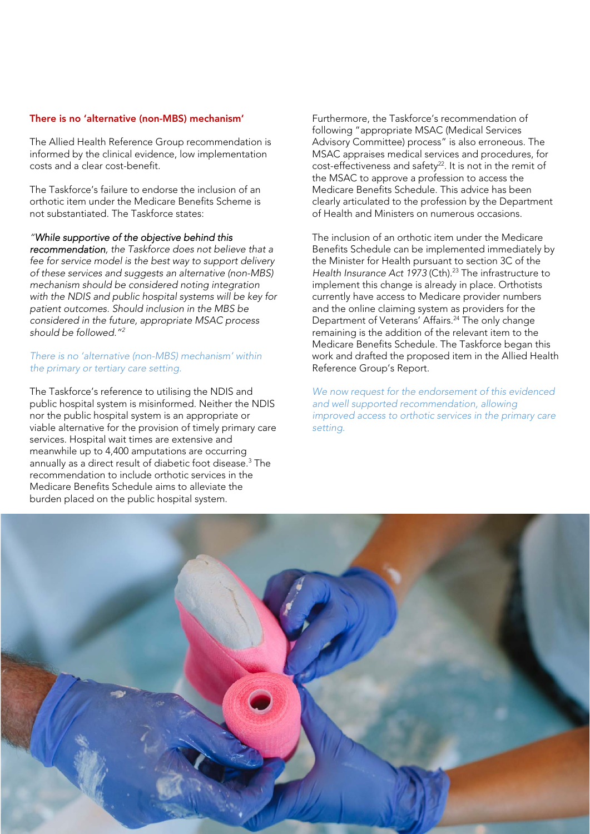#### There is no 'alternative (non-MBS) mechanism'

The Allied Health Reference Group recommendation is informed by the clinical evidence, low implementation costs and a clear cost-benefit.

The Taskforce's failure to endorse the inclusion of an orthotic item under the Medicare Benefits Scheme is not substantiated. The Taskforce states:

*"While supportive of the objective behind this* 

*recommendation, the Taskforce does not believe that a fee for service model is the best way to support delivery of these services and suggests an alternative (non-MBS) mechanism should be considered noting integration with the NDIS and public hospital systems will be key for patient outcomes. Should inclusion in the MBS be considered in the future, appropriate MSAC process should be followed."2*

### *There is no 'alternative (non-MBS) mechanism' within the primary or tertiary care setting.*

The Taskforce's reference to utilising the NDIS and public hospital system is misinformed. Neither the NDIS nor the public hospital system is an appropriate or viable alternative for the provision of timely primary care services. Hospital wait times are extensive and meanwhile up to 4,400 amputations are occurring annually as a direct result of diabetic foot disease.3 The recommendation to include orthotic services in the Medicare Benefits Schedule aims to alleviate the burden placed on the public hospital system.

Furthermore, the Taskforce's recommendation of following "appropriate MSAC (Medical Services Advisory Committee) process" is also erroneous. The MSAC appraises medical services and procedures, for cost-effectiveness and safety<sup>22</sup>. It is not in the remit of the MSAC to approve a profession to access the Medicare Benefits Schedule. This advice has been clearly articulated to the profession by the Department of Health and Ministers on numerous occasions.

The inclusion of an orthotic item under the Medicare Benefits Schedule can be implemented immediately by the Minister for Health pursuant to section 3C of the Health Insurance Act 1973 (Cth).<sup>23</sup> The infrastructure to implement this change is already in place. Orthotists currently have access to Medicare provider numbers and the online claiming system as providers for the Department of Veterans' Affairs.<sup>24</sup> The only change remaining is the addition of the relevant item to the Medicare Benefits Schedule. The Taskforce began this work and drafted the proposed item in the Allied Health Reference Group's Report.

*We now request for the endorsement of this evidenced and well supported recommendation, allowing improved access to orthotic services in the primary care setting.* 

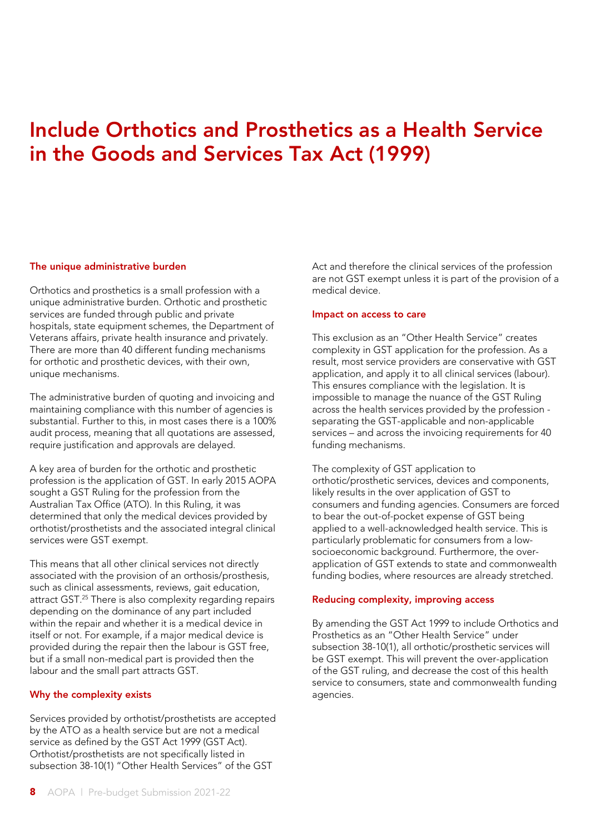## Include Orthotics and Prosthetics as a Health Service in the Goods and Services Tax Act (1999)

### The unique administrative burden

Orthotics and prosthetics is a small profession with a unique administrative burden. Orthotic and prosthetic services are funded through public and private hospitals, state equipment schemes, the Department of Veterans affairs, private health insurance and privately. There are more than 40 different funding mechanisms for orthotic and prosthetic devices, with their own, unique mechanisms.

The administrative burden of quoting and invoicing and maintaining compliance with this number of agencies is substantial. Further to this, in most cases there is a 100% audit process, meaning that all quotations are assessed, require justification and approvals are delayed.

A key area of burden for the orthotic and prosthetic profession is the application of GST. In early 2015 AOPA sought a GST Ruling for the profession from the Australian Tax Office (ATO). In this Ruling, it was determined that only the medical devices provided by orthotist/prosthetists and the associated integral clinical services were GST exempt.

This means that all other clinical services not directly associated with the provision of an orthosis/prosthesis, such as clinical assessments, reviews, gait education, attract GST.<sup>25</sup> There is also complexity regarding repairs depending on the dominance of any part included within the repair and whether it is a medical device in itself or not. For example, if a major medical device is provided during the repair then the labour is GST free, but if a small non-medical part is provided then the labour and the small part attracts GST.

## Why the complexity exists

Services provided by orthotist/prosthetists are accepted by the ATO as a health service but are not a medical service as defined by the GST Act 1999 (GST Act). Orthotist/prosthetists are not specifically listed in subsection 38-10(1) "Other Health Services" of the GST

Act and therefore the clinical services of the profession are not GST exempt unless it is part of the provision of a medical device.

### Impact on access to care

This exclusion as an "Other Health Service" creates complexity in GST application for the profession. As a result, most service providers are conservative with GST application, and apply it to all clinical services (labour). This ensures compliance with the legislation. It is impossible to manage the nuance of the GST Ruling across the health services provided by the profession separating the GST-applicable and non-applicable services – and across the invoicing requirements for 40 funding mechanisms.

The complexity of GST application to orthotic/prosthetic services, devices and components, likely results in the over application of GST to consumers and funding agencies. Consumers are forced to bear the out-of-pocket expense of GST being applied to a well-acknowledged health service. This is particularly problematic for consumers from a lowsocioeconomic background. Furthermore, the overapplication of GST extends to state and commonwealth funding bodies, where resources are already stretched.

## Reducing complexity, improving access

By amending the GST Act 1999 to include Orthotics and Prosthetics as an "Other Health Service" under subsection 38-10(1), all orthotic/prosthetic services will be GST exempt. This will prevent the over-application of the GST ruling, and decrease the cost of this health service to consumers, state and commonwealth funding agencies.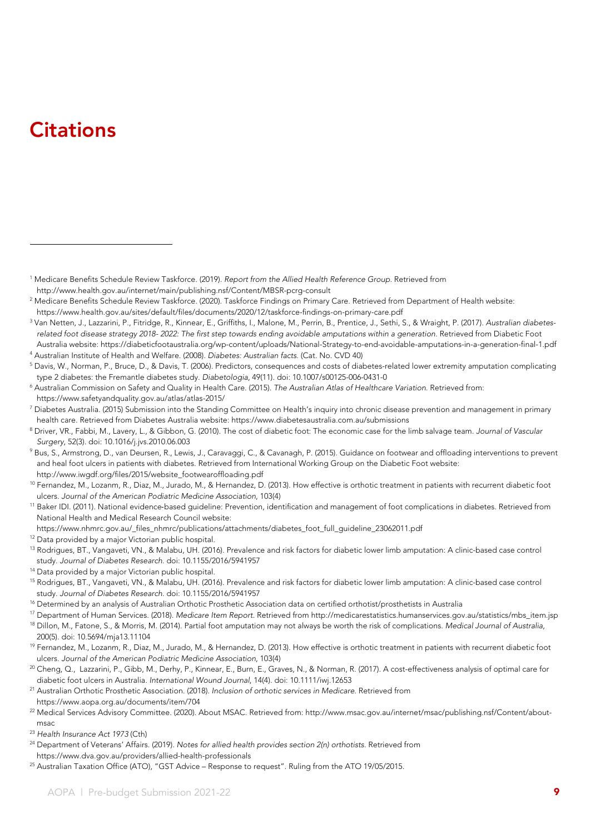## **Citations**

1 Medicare Benefits Schedule Review Taskforce. (2019). *Report from the Allied Health Reference Group*. Retrieved from http://www.health.gov.au/internet/main/publishing.nsf/Content/MBSR-pcrg-consult 2

https://www.health.gov.au/sites/default/files/documents/2020/12/taskforce-findings-on-primary-care.pdf<br><sup>3</sup> Van Netten, J., Lazzarini, P., Fitridge, R., Kinnear, E., Griffiths, I., Malone, M., Perrin, B., Prentice, J., Seth *related foot disease strategy 2018- 2022: The first step towards ending avoidable amputations within a generation*. Retrieved from Diabetic Foot Australia website: https://diabeticfootaustralia.org/wp-content/uploads/National-Strategy-to-end-avoidable-amputations-in-a-generation-final-1.pdf 4

Australian Institute of Health and Welfare. (2008). *Diabetes: Australian facts*. (Cat. No. CVD 40) 5

- Diabetes Australia. (2015) Submission into the Standing Committee on Health's inquiry into chronic disease prevention and management in primary
- health care. Retrieved from Diabetes Australia website: https://www.diabetesaustralia.com.au/submissions<br><sup>8</sup> Driver, VR., Fabbi, M., Lavery, L., & Gibbon, G. (2010). The cost of diabetic foot: The economic case for the lim
- Surgery, 52(3). doi: 10.1016/j.jvs.2010.06.003<br><sup>9</sup> Bus, S., Armstrong, D., van Deursen, R., Lewis, J., Caravaggi, C., & Cavanagh, P. (2015). Guidance on footwear and offloading interventions to prevent and heal foot ulcers in patients with diabetes. Retrieved from International Working Group on the Diabetic Foot website:
- http://www.iwgdf.org/files/2015/website\_footwearoffloading.pdf<br><sup>10</sup> Fernandez, M., Lozanm, R., Diaz, M., Jurado, M., & Hernandez, D. (2013). How effective is orthotic treatment in patients with recurrent diabetic foot ulcers. *Journal of the American Podiatric Medicine Association*, 103(4)
- <sup>11</sup> Baker IDI. (2011). National evidence-based guideline: Prevention, identification and management of foot complications in diabetes. Retrieved from National Health and Medical Research Council website:
- https://www.nhmrc.gov.au/\_files\_nhmrc/publications/attachments/diabetes\_foot\_full\_guideline\_23062011.pdf 12 Data provided by a major Victorian public hospital.
- 
- <sup>13</sup> Rodrigues, BT., Vangaveti, VN., & Malabu, UH. (2016). Prevalence and risk factors for diabetic lower limb amputation: A clinic-based case control study. *Journal of Diabetes Research*. doi: 10.1155/2016/5941957 14 Data provided by a major Victorian public hospital.
- 
- <sup>15</sup> Rodrigues, BT., Vangaveti, VN., & Malabu, UH. (2016). Prevalence and risk factors for diabetic lower limb amputation: A clinic-based case control study. Journal of Diabetes Research. doi: 10.1155/2016/5941957<br><sup>16</sup> Determined by an analysis of Australian Orthotic Prosthetic Association data on certified orthotist/prosthetists in Australia<br><sup>17</sup> Department of Human Ser
- 
- 
- 200(5). doi: 10.5694/mja13.11104
- <sup>19</sup> Fernandez, M., Lozanm, R., Diaz, M., Jurado, M., & Hernandez, D. (2013). How effective is orthotic treatment in patients with recurrent diabetic foot ulcers. *Journal of the American Podiatric Medicine Association*, 103(4)
- <sup>20</sup> Cheng, Q., Lazzarini, P., Gibb, M., Derhy, P., Kinnear, E., Burn, E., Graves, N., & Norman, R. (2017). A cost-effectiveness analysis of optimal care for diabetic foot ulcers in Australia. *International Wound Journal*, 14(4). doi: 10.1111/iwj.12653 21 Australian Orthotic Prosthetic Association. (2018). *Inclusion of orthotic services in Medicare*. Retrieved from
- 
- https://www.aopa.org.au/documents/item/704<br><sup>22</sup> Medical Services Advisory Committee. (2020). About MSAC. Retrieved from: http://www.msac.gov.au/internet/msac/publishing.nsf/Content/aboutmsac
- <sup>23</sup> *Health Insurance Act 1973* (Cth)
- 24 Department of Veterans' Affairs. (2019). *Notes for allied health provides section 2(n) orthotists*. Retrieved from https://www.dva.gov.au/providers/allied-health-professionals 25 Australian Taxation Office (ATO), "GST Advice – Response to request". Ruling from the ATO 19/05/2015.
- 

<sup>&</sup>lt;sup>2</sup> Medicare Benefits Schedule Review Taskforce. (2020). Taskforce Findings on Primary Care. Retrieved from Department of Health website:

<sup>&</sup>lt;sup>5</sup> Davis, W., Norman, P., Bruce, D., & Davis, T. (2006). Predictors, consequences and costs of diabetes-related lower extremity amputation complicating

type 2 diabetes: the Fremantle diabetes study. Diabetologia, 49(11). doi: 10.1007/s00125-006-0431-0<br><sup>6</sup> Australian Commission on Safety and Quality in Health Care. (2015). *The Australian Atlas of Healthcare Variation.* Re https://www.safetyandquality.gov.au/atlas/atlas-2015/ 7